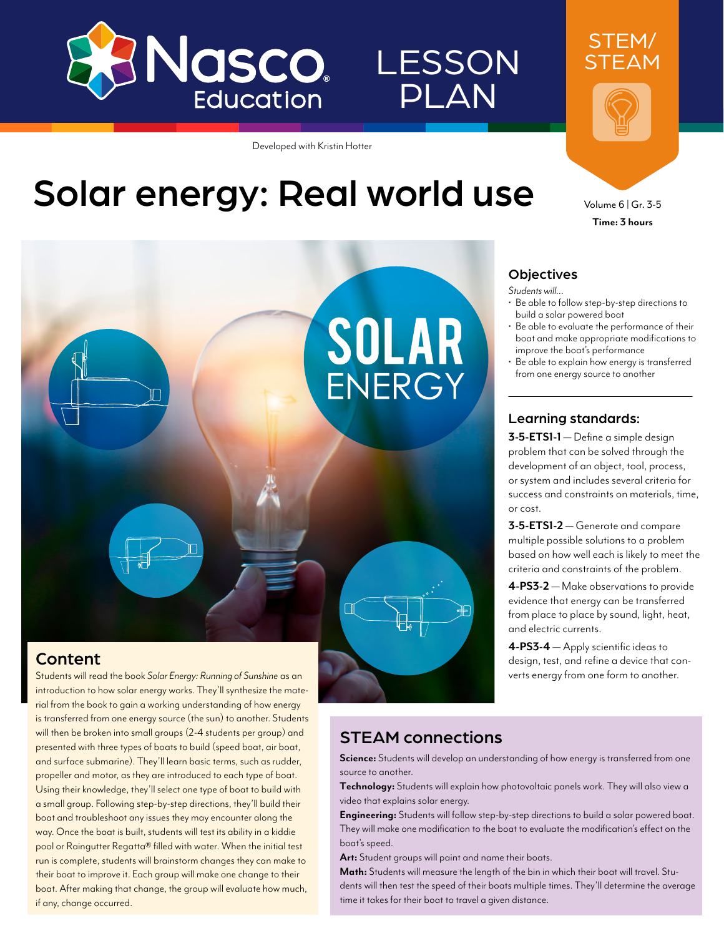

# **LESSON** PLAN

Developed with Kristin Hotter

# Solar energy: Real world use Volume 6 | Gr. 3-5



## Content

Students will read the book *Solar Energy: Running of Sunshine* as an introduction to how solar energy works. They'll synthesize the material from the book to gain a working understanding of how energy is transferred from one energy source (the sun) to another. Students will then be broken into small groups (2-4 students per group) and presented with three types of boats to build (speed boat, air boat, and surface submarine). They'll learn basic terms, such as rudder, propeller and motor, as they are introduced to each type of boat. Using their knowledge, they'll select one type of boat to build with a small group. Following step-by-step directions, they'll build their boat and troubleshoot any issues they may encounter along the way. Once the boat is built, students will test its ability in a kiddie pool or Raingutter Regatta® filled with water. When the initial test run is complete, students will brainstorm changes they can make to their boat to improve it. Each group will make one change to their boat. After making that change, the group will evaluate how much, if any, change occurred.



STEM/ STEAM

**Time: 3 hours**

#### **Objectives**

- *Students will…*
- Be able to follow step-by-step directions to build a solar powered boat
- Be able to evaluate the performance of their boat and make appropriate modifications to improve the boat's performance
- Be able to explain how energy is transferred from one energy source to another

#### Learning standards:

**3-5-ETS1-1** — Define a simple design problem that can be solved through the development of an object, tool, process, or system and includes several criteria for success and constraints on materials, time, or cost.

**3-5-ETS1-2** — Generate and compare multiple possible solutions to a problem based on how well each is likely to meet the criteria and constraints of the problem.

**4-PS3-2** — Make observations to provide evidence that energy can be transferred from place to place by sound, light, heat, and electric currents.

**4-PS3-4** — Apply scientific ideas to design, test, and refine a device that converts energy from one form to another.

## STEAM connections

**Science:** Students will develop an understanding of how energy is transferred from one source to another.

**Technology:** Students will explain how photovoltaic panels work. They will also view a video that explains solar energy.

**Engineering:** Students will follow step-by-step directions to build a solar powered boat. They will make one modification to the boat to evaluate the modification's effect on the boat's speed.

**Art:** Student groups will paint and name their boats.

**Math:** Students will measure the length of the bin in which their boat will travel. Students will then test the speed of their boats multiple times. They'll determine the average time it takes for their boat to travel a given distance.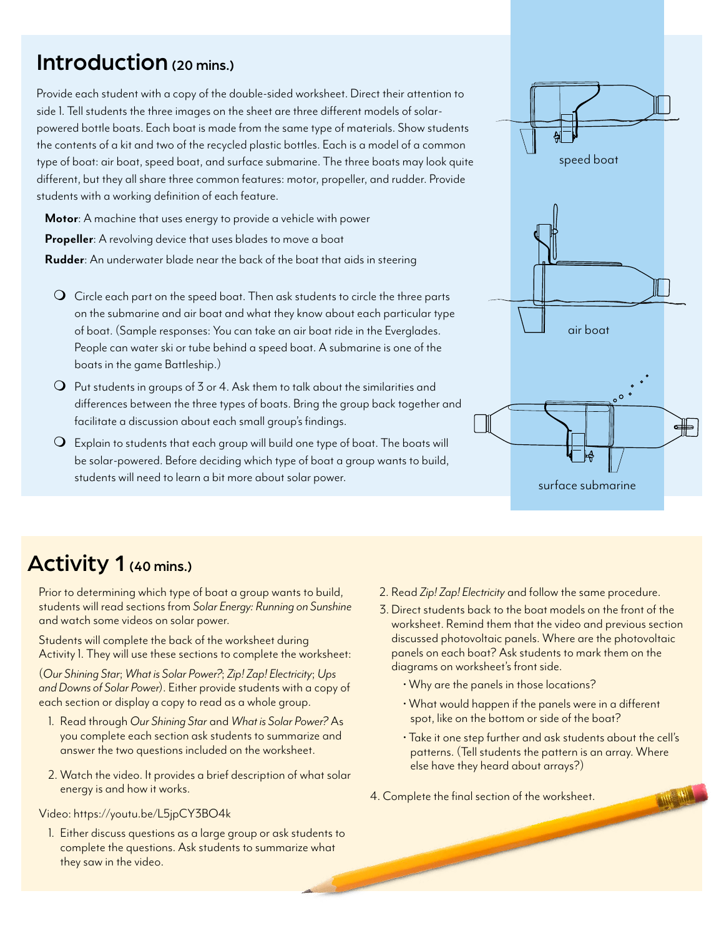# Introduction (20 mins.)

Provide each student with a copy of the double-sided worksheet. Direct their attention to side 1. Tell students the three images on the sheet are three different models of solarpowered bottle boats. Each boat is made from the same type of materials. Show students the contents of a kit and two of the recycled plastic bottles. Each is a model of a common type of boat: air boat, speed boat, and surface submarine. The three boats may look quite different, but they all share three common features: motor, propeller, and rudder. Provide students with a working definition of each feature.

**Motor**: A machine that uses energy to provide a vehicle with power **Propeller:** A revolving device that uses blades to move a boat **Rudder**: An underwater blade near the back of the boat that aids in steering

- $\mathsf O\;$  Circle each part on the speed boat. Then ask students to circle the three parts on the submarine and air boat and what they know about each particular type of boat. (Sample responses: You can take an air boat ride in the Everglades. People can water ski or tube behind a speed boat. A submarine is one of the boats in the game Battleship.)
- $\Omega$  Put students in groups of 3 or 4. Ask them to talk about the similarities and differences between the three types of boats. Bring the group back together and facilitate a discussion about each small group's findings.
- $\mathsf O\;$  Explain to students that each group will build one type of boat. The boats will be solar-powered. Before deciding which type of boat a group wants to build, students will need to learn a bit more about solar power.



# Activity 1 (40 mins.)

Prior to determining which type of boat a group wants to build, students will read sections from *Solar Energy: Running on Sunshine* and watch some videos on solar power.

Students will complete the back of the worksheet during Activity 1. They will use these sections to complete the worksheet:

(*Our Shining Star*; *What is Solar Power?*; *Zip! Zap! Electricity*; *Ups and Downs of Solar Power*). Either provide students with a copy of each section or display a copy to read as a whole group.

- 1. Read through *Our Shining Star* and *What is Solar Power?* As you complete each section ask students to summarize and answer the two questions included on the worksheet.
- 2. Watch the video. It provides a brief description of what solar energy is and how it works.

Video:<https://youtu.be/L5jpCY3BO4k>

1. Either discuss questions as a large group or ask students to complete the questions. Ask students to summarize what they saw in the video.

- 2. Read *Zip! Zap! Electricity* and follow the same procedure.
- 3. Direct students back to the boat models on the front of the worksheet. Remind them that the video and previous section discussed photovoltaic panels. Where are the photovoltaic panels on each boat? Ask students to mark them on the diagrams on worksheet's front side.
	- Why are the panels in those locations?
	- What would happen if the panels were in a different spot, like on the bottom or side of the boat?
	- Take it one step further and ask students about the cell's patterns. (Tell students the pattern is an array. Where else have they heard about arrays?)
- 4. Complete the final section of the worksheet.